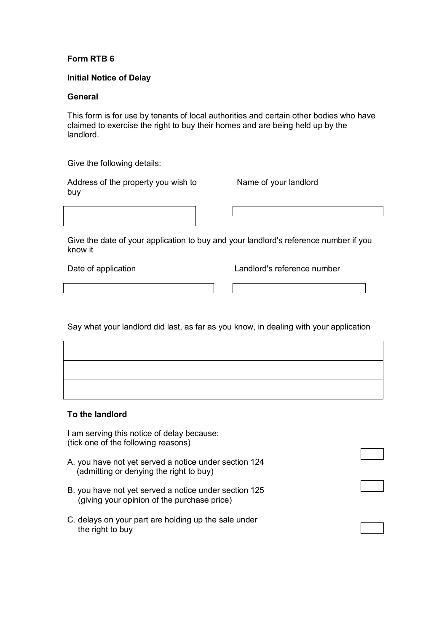# **Form RTB 6**

## **Initial Notice of Delay**

#### **General**

This form is for use by tenants of local authorities and certain other bodies who have claimed to exercise the right to buy their homes and are being held up by the landlord.

Give the following details:

Address of the property you wish to buy

Name of your landlord

Give the date of your application to buy and your landlord's reference number if you know it

Date of application **Landlord's reference number** 

Say what your landlord did last, as far as you know, in dealing with your application

# **To the landlord**

I am serving this notice of delay because: (tick one of the following reasons)

- A. you have not yet served a notice under section 124 (admitting or denying the right to buy)
- B. you have not yet served a notice under section 125 (giving your opinion of the purchase price)
- C. delays on your part are holding up the sale under the right to buy